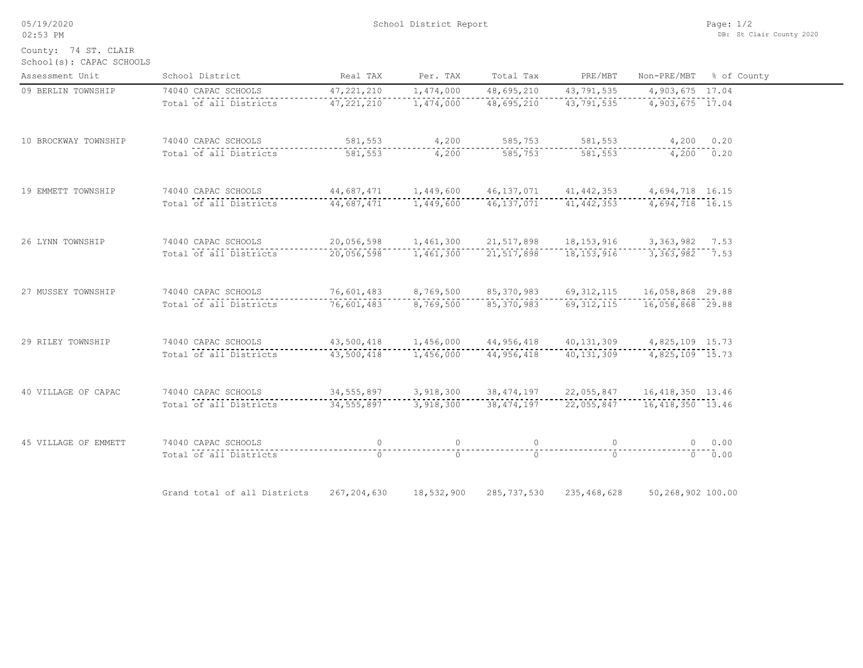05/19/2020

School(s): CAPAC SCHOOLS County: 74 ST. CLAIR

| Assessment Unit      | School District                                                                                                                                                                                                                                                                                                                                                                                                                                                                                                     | Real TAX                                                       | Per. TAX       | Total Tax                          | PRE/MBT                                                                                                                                                                                                                                                                                       |                   | Non-PRE/MBT % of County |
|----------------------|---------------------------------------------------------------------------------------------------------------------------------------------------------------------------------------------------------------------------------------------------------------------------------------------------------------------------------------------------------------------------------------------------------------------------------------------------------------------------------------------------------------------|----------------------------------------------------------------|----------------|------------------------------------|-----------------------------------------------------------------------------------------------------------------------------------------------------------------------------------------------------------------------------------------------------------------------------------------------|-------------------|-------------------------|
| 09 BERLIN TOWNSHIP   | 74040 CAPAC SCHOOLS                                                                                                                                                                                                                                                                                                                                                                                                                                                                                                 | 47, 221, 210                                                   | 1,474,000      | 48,695,210                         | 43,791,535                                                                                                                                                                                                                                                                                    | 4,903,675 17.04   |                         |
|                      | Total of all Districts                                                                                                                                                                                                                                                                                                                                                                                                                                                                                              | 47,221,210                                                     | 1,474,000      | 48,695,210                         | 43,791,535                                                                                                                                                                                                                                                                                    | 4,903,675 17.04   |                         |
| 10 BROCKWAY TOWNSHIP | 74040 CAPAC SCHOOLS                                                                                                                                                                                                                                                                                                                                                                                                                                                                                                 |                                                                |                | 581,553 4,200 585,753 581,553      |                                                                                                                                                                                                                                                                                               | $4,200$ 0.20      |                         |
|                      | Total of all Districts                                                                                                                                                                                                                                                                                                                                                                                                                                                                                              | 581,553                                                        | $-4,200$       | -----------------------<br>585,753 | 581,553                                                                                                                                                                                                                                                                                       | $4,200$ 0.20      |                         |
| 19 EMMETT TOWNSHIP   | 74040 CAPAC SCHOOLS 44,687,471 1,449,600 46,137,071 41,442,353 4,694,718 16.15                                                                                                                                                                                                                                                                                                                                                                                                                                      |                                                                |                |                                    |                                                                                                                                                                                                                                                                                               |                   |                         |
|                      | $\texttt{Total of all Distributions}\label{equ:1} \begin{minipage}{0.03\textwidth} \begin{minipage}{0.03\textwidth} \begin{minipage}{0.03\textwidth} \begin{minipage}{0.03\textwidth} \begin{minipage}{0.03\textwidth} \begin{minipage}{0.03\textwidth} \begin{minipage}{0.03\textwidth} \begin{minipage}{0.03\textwidth} \begin{minipage}{0.03\textwidth} \begin{minipage}{0.03\textwidth} \begin{minipage}{0.03\textwidth} \begin{minipage}{0.03\textwidth} \begin{minipage}{0.03\textwidth} \begin{minipage}{0.$ |                                                                |                |                                    |                                                                                                                                                                                                                                                                                               |                   |                         |
| 26 LYNN TOWNSHIP     | 74040 CAPAC SCHOOLS                                                                                                                                                                                                                                                                                                                                                                                                                                                                                                 | 20,056,598  1,461,300  21,517,898  18,153,916  3,363,982  7.53 |                |                                    |                                                                                                                                                                                                                                                                                               |                   |                         |
|                      | Total of all Districts                                                                                                                                                                                                                                                                                                                                                                                                                                                                                              | 20,056,598    1,461,300    21,517,898    18,153,916            |                |                                    |                                                                                                                                                                                                                                                                                               | 3,363,982 7.53    |                         |
| 27 MUSSEY TOWNSHIP   | 74040 CAPAC SCHOOLS                                                                                                                                                                                                                                                                                                                                                                                                                                                                                                 | 76,601,483 8,769,500 85,370,983 69,312,115 16,058,868 29.88    |                |                                    |                                                                                                                                                                                                                                                                                               |                   |                         |
|                      | Total of all Districts                                                                                                                                                                                                                                                                                                                                                                                                                                                                                              | 76,601,483                                                     | 8,769,500      | 85,370,983                         | 69,312,115                                                                                                                                                                                                                                                                                    | 16,058,868 29.88  |                         |
| 29 RILEY TOWNSHIP    | 74040 CAPAC SCHOOLS                                                                                                                                                                                                                                                                                                                                                                                                                                                                                                 |                                                                |                |                                    |                                                                                                                                                                                                                                                                                               |                   |                         |
|                      | Total of all Districts                                                                                                                                                                                                                                                                                                                                                                                                                                                                                              | 43,500,418                                                     |                | 1,456,000 44,956,418 40,131,309    |                                                                                                                                                                                                                                                                                               | 4,825,109 15.73   |                         |
| 40 VILLAGE OF CAPAC  | 74040 CAPAC SCHOOLS 34,555,897 3,918,300 38,474,197 22,055,847 16,418,350 13.46                                                                                                                                                                                                                                                                                                                                                                                                                                     |                                                                |                |                                    |                                                                                                                                                                                                                                                                                               |                   |                         |
|                      | Total of all Districts 34,555,897 3,918,300 38,474,197 22,055,847 16,418,350 13.46                                                                                                                                                                                                                                                                                                                                                                                                                                  |                                                                |                |                                    |                                                                                                                                                                                                                                                                                               |                   |                         |
| 45 VILLAGE OF EMMETT | 74040 CAPAC SCHOOLS                                                                                                                                                                                                                                                                                                                                                                                                                                                                                                 | $\overline{0}$                                                 | $\overline{0}$ | $\circ$                            | $\sim$ 0 $\sim$ 0 $\sim$ 0 $\sim$ 0 $\sim$ 0 $\sim$ 0 $\sim$ 0 $\sim$ 0 $\sim$ 0 $\sim$ 0 $\sim$ 0 $\sim$ 0 $\sim$ 0 $\sim$ 0 $\sim$ 0 $\sim$ 0 $\sim$ 0 $\sim$ 0 $\sim$ 0 $\sim$ 0 $\sim$ 0 $\sim$ 0 $\sim$ 0 $\sim$ 0 $\sim$ 0 $\sim$ 0 $\sim$ 0 $\sim$ 0 $\sim$ 0 $\sim$ 0 $\sim$ 0 $\sim$ |                   | 0 0.00                  |
|                      | Total of all Districts                                                                                                                                                                                                                                                                                                                                                                                                                                                                                              | $\overline{a}$                                                 | $\overline{0}$ | $\overline{0}$                     | $\overline{a}$                                                                                                                                                                                                                                                                                |                   | $0 \t 0.00$             |
|                      | Grand total of all Districts 267,204,630                                                                                                                                                                                                                                                                                                                                                                                                                                                                            |                                                                | 18,532,900     |                                    | 285, 737, 530 235, 468, 628                                                                                                                                                                                                                                                                   | 50,268,902 100.00 |                         |